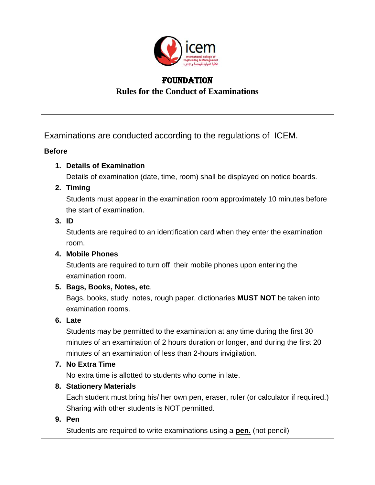

# **FOUNDATION Rules for the Conduct of Examinations**

Examinations are conducted according to the regulations of ICEM.

#### **Before**

#### **1. Details of Examination**

Details of examination (date, time, room) shall be displayed on notice boards.

## **2. Timing**

Students must appear in the examination room approximately 10 minutes before the start of examination.

## **3. ID**

Students are required to an identification card when they enter the examination room.

#### **4. Mobile Phones**

Students are required to turn off their mobile phones upon entering the examination room.

## **5. Bags, Books, Notes, etc**.

Bags, books, study notes, rough paper, dictionaries **MUST NOT** be taken into examination rooms.

## **6. Late**

Students may be permitted to the examination at any time during the first 30 minutes of an examination of 2 hours duration or longer, and during the first 20 minutes of an examination of less than 2-hours invigilation.

## **7. No Extra Time**

No extra time is allotted to students who come in late.

## **8. Stationery Materials**

Each student must bring his/ her own pen, eraser, ruler (or calculator if required.) Sharing with other students is NOT permitted.

## **9. Pen**

Students are required to write examinations using a **pen.** (not pencil)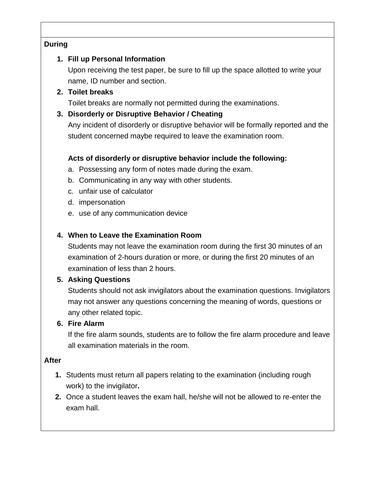#### **During**

## **1. Fill up Personal Information**

Upon receiving the test paper, be sure to fill up the space allotted to write your name, ID number and section.

### **2. Toilet breaks**

Toilet breaks are normally not permitted during the examinations.

## **3. Disorderly or Disruptive Behavior / Cheating**

Any incident of disorderly or disruptive behavior will be formally reported and the student concerned maybe required to leave the examination room.

## **Acts of disorderly or disruptive behavior include the following:**

- a. Possessing any form of notes made during the exam.
- b. Communicating in any way with other students.
- c. unfair use of calculator
- d. impersonation
- e. use of any communication device

## **4. When to Leave the Examination Room**

Students may not leave the examination room during the first 30 minutes of an examination of 2-hours duration or more, or during the first 20 minutes of an examination of less than 2 hours.

## **5. Asking Questions**

Students should not ask invigilators about the examination questions. Invigilators may not answer any questions concerning the meaning of words, questions or any other related topic.

## **6. Fire Alarm**

If the fire alarm sounds, students are to follow the fire alarm procedure and leave all examination materials in the room.

## **After**

- **1.** Students must return all papers relating to the examination (including rough work) to the invigilator**.**
- **2.** Once a student leaves the exam hall, he/she will not be allowed to re-enter the exam hall.